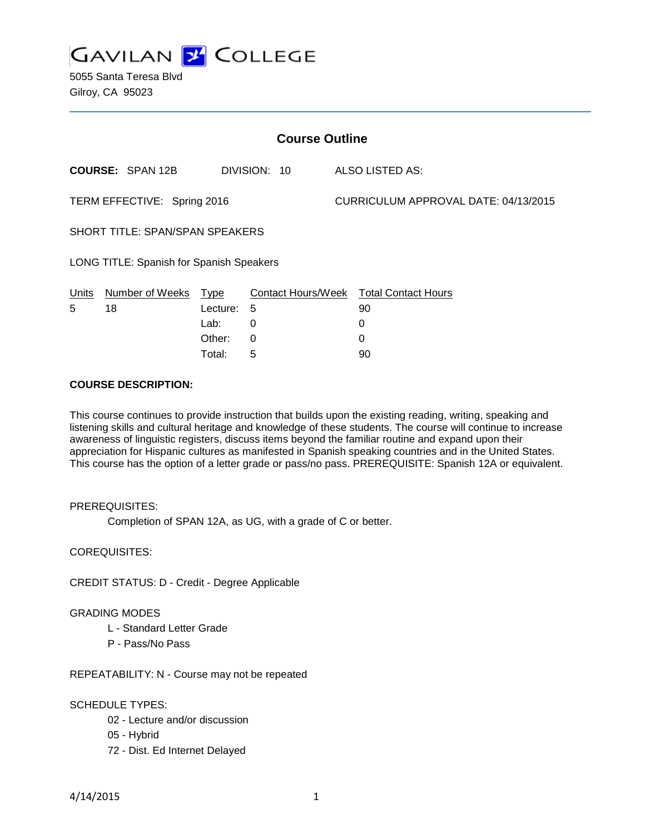

5055 Santa Teresa Blvd Gilroy, CA 95023

| <b>Course Outline</b>                    |                         |          |                    |  |                                      |  |
|------------------------------------------|-------------------------|----------|--------------------|--|--------------------------------------|--|
|                                          | <b>COURSE: SPAN 12B</b> |          | DIVISION: 10       |  | ALSO LISTED AS:                      |  |
| TERM EFFECTIVE: Spring 2016              |                         |          |                    |  | CURRICULUM APPROVAL DATE: 04/13/2015 |  |
| SHORT TITLE: SPAN/SPAN SPEAKERS          |                         |          |                    |  |                                      |  |
| LONG TITLE: Spanish for Spanish Speakers |                         |          |                    |  |                                      |  |
| Units                                    | Number of Weeks         | Type     | Contact Hours/Week |  | <b>Total Contact Hours</b>           |  |
| 5                                        | 18                      | Lecture: | 5                  |  | 90                                   |  |
|                                          |                         | Lab:     | 0                  |  | 0                                    |  |
|                                          |                         | Other:   | 0                  |  | 0                                    |  |

## **COURSE DESCRIPTION:**

This course continues to provide instruction that builds upon the existing reading, writing, speaking and listening skills and cultural heritage and knowledge of these students. The course will continue to increase awareness of linguistic registers, discuss items beyond the familiar routine and expand upon their appreciation for Hispanic cultures as manifested in Spanish speaking countries and in the United States. This course has the option of a letter grade or pass/no pass. PREREQUISITE: Spanish 12A or equivalent.

Total: 5 90

# PREREQUISITES:

Completion of SPAN 12A, as UG, with a grade of C or better.

COREQUISITES:

CREDIT STATUS: D - Credit - Degree Applicable

## GRADING MODES

- L Standard Letter Grade
- P Pass/No Pass

REPEATABILITY: N - Course may not be repeated

## SCHEDULE TYPES:

- 02 Lecture and/or discussion
- 05 Hybrid
- 72 Dist. Ed Internet Delayed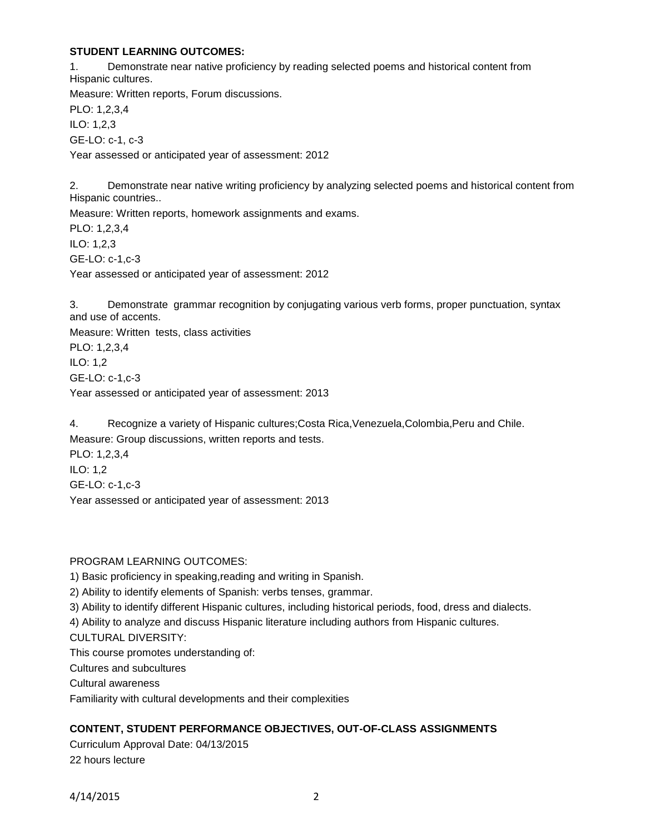# **STUDENT LEARNING OUTCOMES:**

1. Demonstrate near native proficiency by reading selected poems and historical content from Hispanic cultures. Measure: Written reports, Forum discussions. PLO: 1,2,3,4 ILO: 1,2,3 GE-LO: c-1, c-3 Year assessed or anticipated year of assessment: 2012 2. Demonstrate near native writing proficiency by analyzing selected poems and historical content from Hispanic countries..

Measure: Written reports, homework assignments and exams. PLO: 1,2,3,4 ILO: 1,2,3 GE-LO: c-1,c-3 Year assessed or anticipated year of assessment: 2012

3. Demonstrate grammar recognition by conjugating various verb forms, proper punctuation, syntax and use of accents.

Measure: Written tests, class activities

PLO: 1,2,3,4 ILO: 1,2 GE-LO: c-1,c-3 Year assessed or anticipated year of assessment: 2013

4. Recognize a variety of Hispanic cultures;Costa Rica,Venezuela,Colombia,Peru and Chile. Measure: Group discussions, written reports and tests. PLO: 1,2,3,4

ILO: 1,2 GE-LO: c-1,c-3 Year assessed or anticipated year of assessment: 2013

## PROGRAM LEARNING OUTCOMES:

1) Basic proficiency in speaking,reading and writing in Spanish.

2) Ability to identify elements of Spanish: verbs tenses, grammar.

3) Ability to identify different Hispanic cultures, including historical periods, food, dress and dialects.

4) Ability to analyze and discuss Hispanic literature including authors from Hispanic cultures.

CULTURAL DIVERSITY:

This course promotes understanding of:

Cultures and subcultures

Cultural awareness

Familiarity with cultural developments and their complexities

# **CONTENT, STUDENT PERFORMANCE OBJECTIVES, OUT-OF-CLASS ASSIGNMENTS**

Curriculum Approval Date: 04/13/2015 22 hours lecture

4/14/2015 2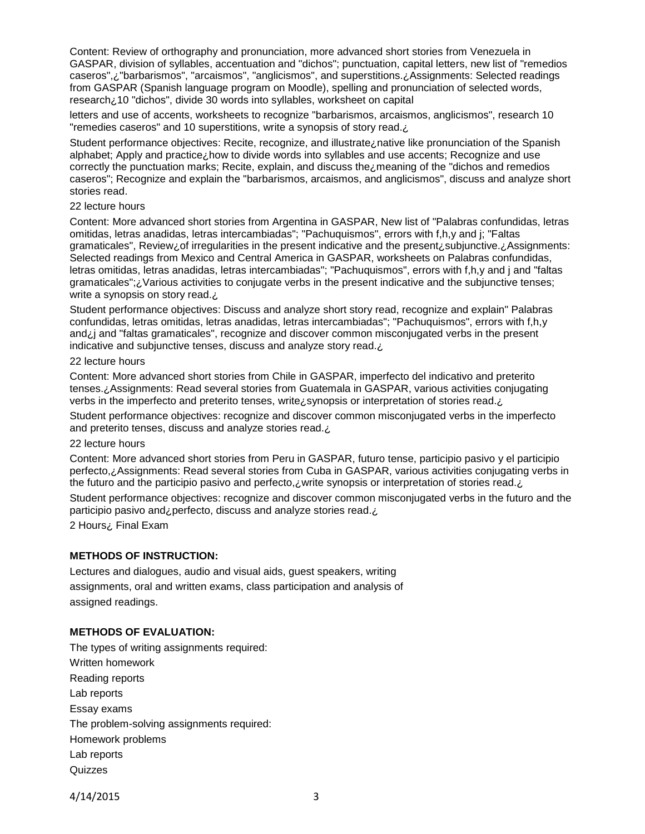Content: Review of orthography and pronunciation, more advanced short stories from Venezuela in GASPAR, division of syllables, accentuation and "dichos"; punctuation, capital letters, new list of "remedios caseros",¿"barbarismos", "arcaismos", "anglicismos", and superstitions.¿Assignments: Selected readings from GASPAR (Spanish language program on Moodle), spelling and pronunciation of selected words, research¿10 "dichos", divide 30 words into syllables, worksheet on capital

letters and use of accents, worksheets to recognize "barbarismos, arcaismos, anglicismos", research 10 "remedies caseros" and 10 superstitions, write a synopsis of story read.¿

Student performance objectives: Recite, recognize, and illustrate¿native like pronunciation of the Spanish alphabet; Apply and practice¿how to divide words into syllables and use accents; Recognize and use correctly the punctuation marks; Recite, explain, and discuss the¿meaning of the "dichos and remedios caseros"; Recognize and explain the "barbarismos, arcaismos, and anglicismos", discuss and analyze short stories read.

## 22 lecture hours

Content: More advanced short stories from Argentina in GASPAR, New list of "Palabras confundidas, letras omitidas, letras anadidas, letras intercambiadas"; "Pachuquismos", errors with f,h,y and j; "Faltas gramaticales", Review¿of irregularities in the present indicative and the present¿subjunctive.¿Assignments: Selected readings from Mexico and Central America in GASPAR, worksheets on Palabras confundidas, letras omitidas, letras anadidas, letras intercambiadas"; "Pachuquismos", errors with f,h,y and j and "faltas gramaticales";¿Various activities to conjugate verbs in the present indicative and the subjunctive tenses; write a synopsis on story read.

Student performance objectives: Discuss and analyze short story read, recognize and explain" Palabras confundidas, letras omitidas, letras anadidas, letras intercambiadas"; "Pachuquismos", errors with f,h,y and¿j and "faltas gramaticales", recognize and discover common misconjugated verbs in the present indicative and subjunctive tenses, discuss and analyze story read.¿

#### 22 lecture hours

Content: More advanced short stories from Chile in GASPAR, imperfecto del indicativo and preterito tenses.¿Assignments: Read several stories from Guatemala in GASPAR, various activities conjugating verbs in the imperfecto and preterito tenses, write¿synopsis or interpretation of stories read.¿

Student performance objectives: recognize and discover common misconjugated verbs in the imperfecto and preterito tenses, discuss and analyze stories read. ¿

## 22 lecture hours

Content: More advanced short stories from Peru in GASPAR, futuro tense, participio pasivo y el participio perfecto,¿Assignments: Read several stories from Cuba in GASPAR, various activities conjugating verbs in the futuro and the participio pasivo and perfecto, *i* write synopsis or interpretation of stories read.

Student performance objectives: recognize and discover common misconjugated verbs in the futuro and the participio pasivo and¿perfecto, discuss and analyze stories read.¿

2 Hours¿ Final Exam

## **METHODS OF INSTRUCTION:**

Lectures and dialogues, audio and visual aids, guest speakers, writing assignments, oral and written exams, class participation and analysis of assigned readings.

## **METHODS OF EVALUATION:**

The types of writing assignments required: Written homework Reading reports Lab reports Essay exams The problem-solving assignments required: Homework problems Lab reports **Quizzes** 

4/14/2015 3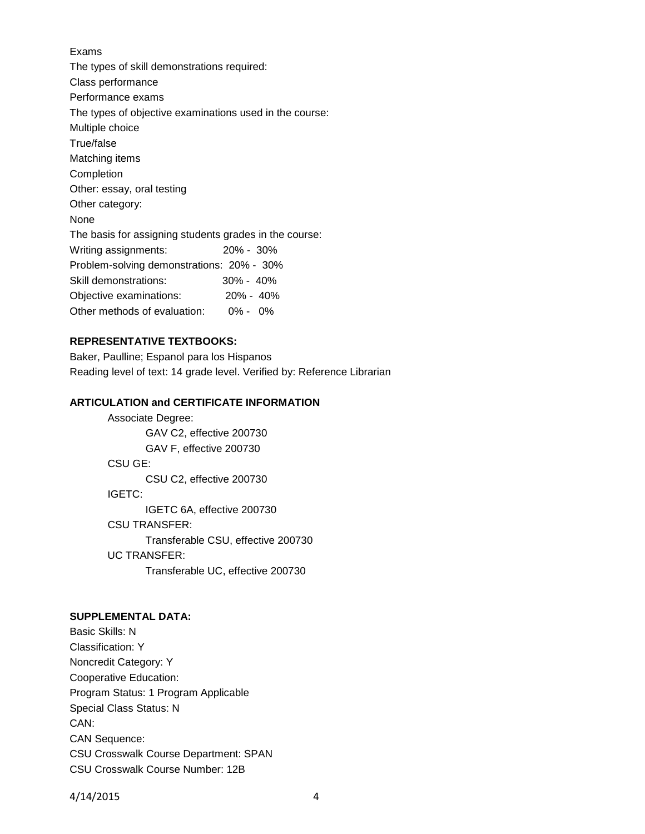Exams The types of skill demonstrations required: Class performance Performance exams The types of objective examinations used in the course: Multiple choice True/false Matching items Completion Other: essay, oral testing Other category: None The basis for assigning students grades in the course: Writing assignments: 20% - 30% Problem-solving demonstrations: 20% - 30% Skill demonstrations: 30% - 40% Objective examinations: 20% - 40% Other methods of evaluation: 0% - 0%

# **REPRESENTATIVE TEXTBOOKS:**

Baker, Paulline; Espanol para los Hispanos Reading level of text: 14 grade level. Verified by: Reference Librarian

## **ARTICULATION and CERTIFICATE INFORMATION**

Associate Degree: GAV C2, effective 200730 GAV F, effective 200730 CSU GE: CSU C2, effective 200730 IGETC: IGETC 6A, effective 200730 CSU TRANSFER: Transferable CSU, effective 200730 UC TRANSFER: Transferable UC, effective 200730

# **SUPPLEMENTAL DATA:**

Basic Skills: N Classification: Y Noncredit Category: Y Cooperative Education: Program Status: 1 Program Applicable Special Class Status: N CAN: CAN Sequence: CSU Crosswalk Course Department: SPAN CSU Crosswalk Course Number: 12B